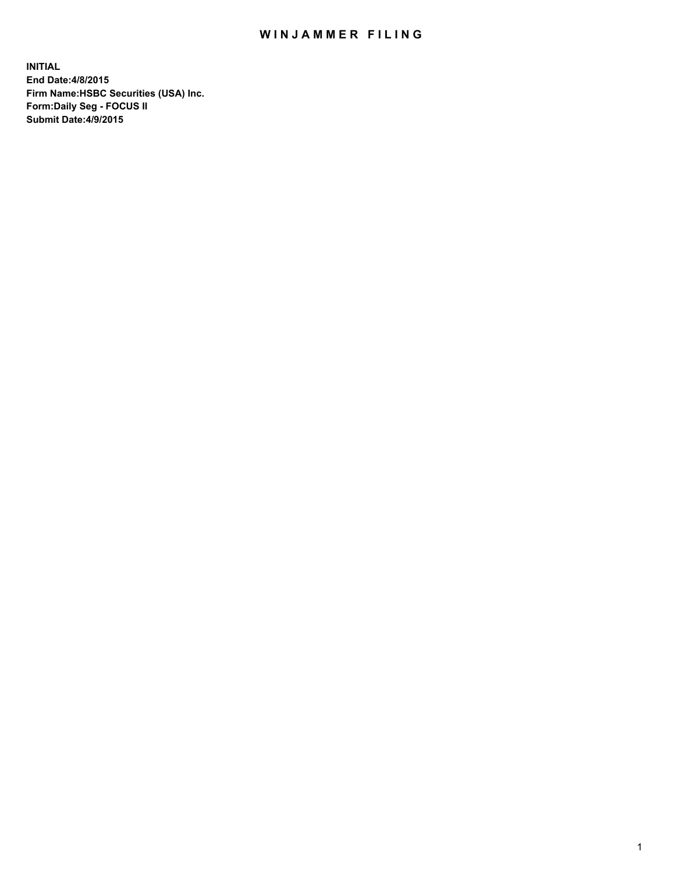## WIN JAMMER FILING

**INITIAL End Date:4/8/2015 Firm Name:HSBC Securities (USA) Inc. Form:Daily Seg - FOCUS II Submit Date:4/9/2015**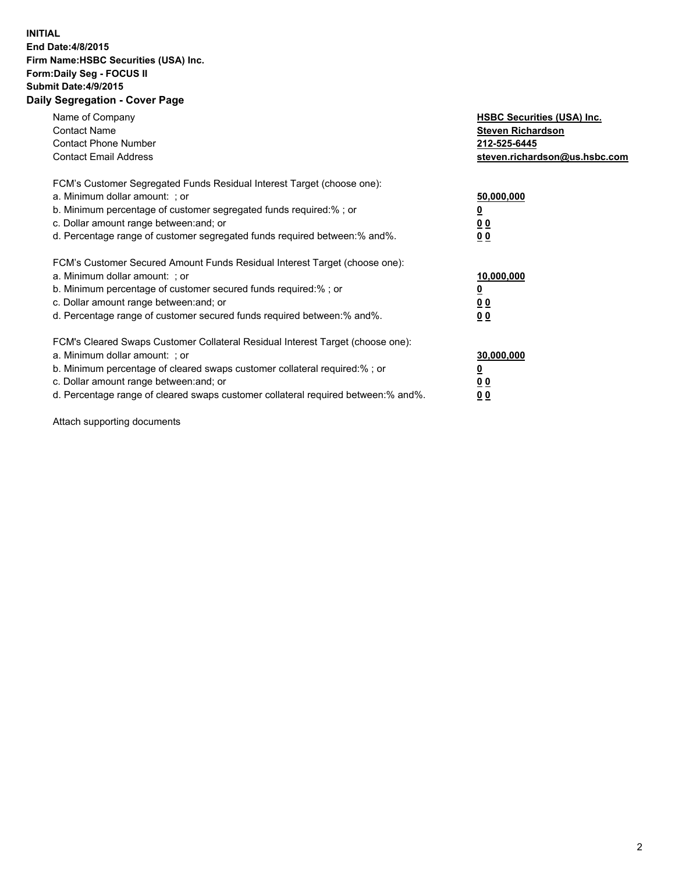## **INITIAL End Date:4/8/2015 Firm Name:HSBC Securities (USA) Inc. Form:Daily Seg - FOCUS II Submit Date:4/9/2015 Daily Segregation - Cover Page**

| Name of Company<br><b>Contact Name</b><br><b>Contact Phone Number</b><br><b>Contact Email Address</b>                                                                                                                                                                                                                         | <b>HSBC Securities (USA) Inc.</b><br><b>Steven Richardson</b><br>212-525-6445<br>steven.richardson@us.hsbc.com |
|-------------------------------------------------------------------------------------------------------------------------------------------------------------------------------------------------------------------------------------------------------------------------------------------------------------------------------|----------------------------------------------------------------------------------------------------------------|
| FCM's Customer Segregated Funds Residual Interest Target (choose one):<br>a. Minimum dollar amount: ; or<br>b. Minimum percentage of customer segregated funds required:% ; or<br>c. Dollar amount range between: and; or<br>d. Percentage range of customer segregated funds required between: % and %.                      | 50,000,000<br>0 <sub>0</sub><br>00                                                                             |
| FCM's Customer Secured Amount Funds Residual Interest Target (choose one):<br>a. Minimum dollar amount: ; or<br>b. Minimum percentage of customer secured funds required:%; or<br>c. Dollar amount range between: and; or<br>d. Percentage range of customer secured funds required between: % and %.                         | 10,000,000<br>00<br>00                                                                                         |
| FCM's Cleared Swaps Customer Collateral Residual Interest Target (choose one):<br>a. Minimum dollar amount: ; or<br>b. Minimum percentage of cleared swaps customer collateral required:%; or<br>c. Dollar amount range between: and; or<br>d. Percentage range of cleared swaps customer collateral required between:% and%. | 30,000,000<br>0 <sub>0</sub><br>00                                                                             |

Attach supporting documents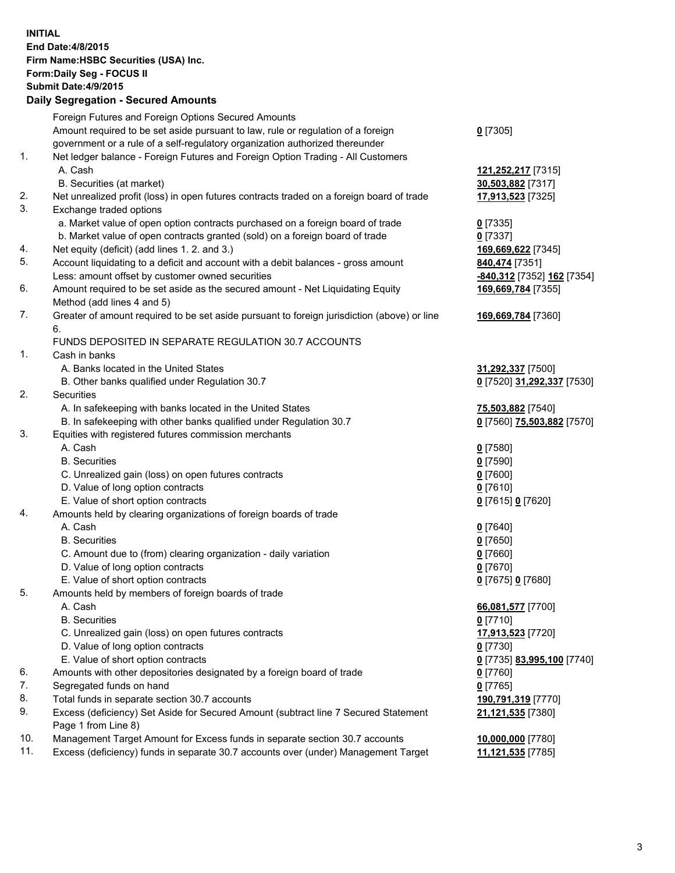**INITIAL End Date:4/8/2015 Firm Name:HSBC Securities (USA) Inc. Form:Daily Seg - FOCUS II Submit Date:4/9/2015 Daily Segregation - Secured Amounts** Foreign Futures and Foreign Options Secured Amounts Amount required to be set aside pursuant to law, rule or regulation of a foreign government or a rule of a self-regulatory organization authorized thereunder **0** [7305] 1. Net ledger balance - Foreign Futures and Foreign Option Trading - All Customers A. Cash **121,252,217** [7315] B. Securities (at market) **30,503,882** [7317] 2. Net unrealized profit (loss) in open futures contracts traded on a foreign board of trade **17,913,523** [7325] 3. Exchange traded options a. Market value of open option contracts purchased on a foreign board of trade **0** [7335] b. Market value of open contracts granted (sold) on a foreign board of trade **0** [7337] 4. Net equity (deficit) (add lines 1. 2. and 3.) **169,669,622** [7345] 5. Account liquidating to a deficit and account with a debit balances - gross amount **840,474** [7351] Less: amount offset by customer owned securities **-840,312** [7352] **162** [7354] 6. Amount required to be set aside as the secured amount - Net Liquidating Equity Method (add lines 4 and 5) **169,669,784** [7355] 7. Greater of amount required to be set aside pursuant to foreign jurisdiction (above) or line 6. **169,669,784** [7360] FUNDS DEPOSITED IN SEPARATE REGULATION 30.7 ACCOUNTS 1. Cash in banks A. Banks located in the United States **31,292,337** [7500] B. Other banks qualified under Regulation 30.7 **0** [7520] **31,292,337** [7530] 2. Securities A. In safekeeping with banks located in the United States **75,503,882** [7540] B. In safekeeping with other banks qualified under Regulation 30.7 **0** [7560] **75,503,882** [7570] 3. Equities with registered futures commission merchants A. Cash **0** [7580] B. Securities **0** [7590] C. Unrealized gain (loss) on open futures contracts **0** [7600] D. Value of long option contracts **0** [7610] E. Value of short option contracts **0** [7615] **0** [7620] 4. Amounts held by clearing organizations of foreign boards of trade A. Cash **0** [7640] B. Securities **0** [7650] C. Amount due to (from) clearing organization - daily variation **0** [7660] D. Value of long option contracts **0** [7670] E. Value of short option contracts **0** [7675] **0** [7680] 5. Amounts held by members of foreign boards of trade A. Cash **66,081,577** [7700] B. Securities **0** [7710] C. Unrealized gain (loss) on open futures contracts **17,913,523** [7720] D. Value of long option contracts **0** [7730] E. Value of short option contracts **0** [7735] **83,995,100** [7740] 6. Amounts with other depositories designated by a foreign board of trade **0** [7760] 7. Segregated funds on hand **0** [7765] 8. Total funds in separate section 30.7 accounts **190,791,319** [7770] 9. Excess (deficiency) Set Aside for Secured Amount (subtract line 7 Secured Statement Page 1 from Line 8) **21,121,535** [7380] 10. Management Target Amount for Excess funds in separate section 30.7 accounts **10,000,000** [7780] 11. Excess (deficiency) funds in separate 30.7 accounts over (under) Management Target **11,121,535** [7785]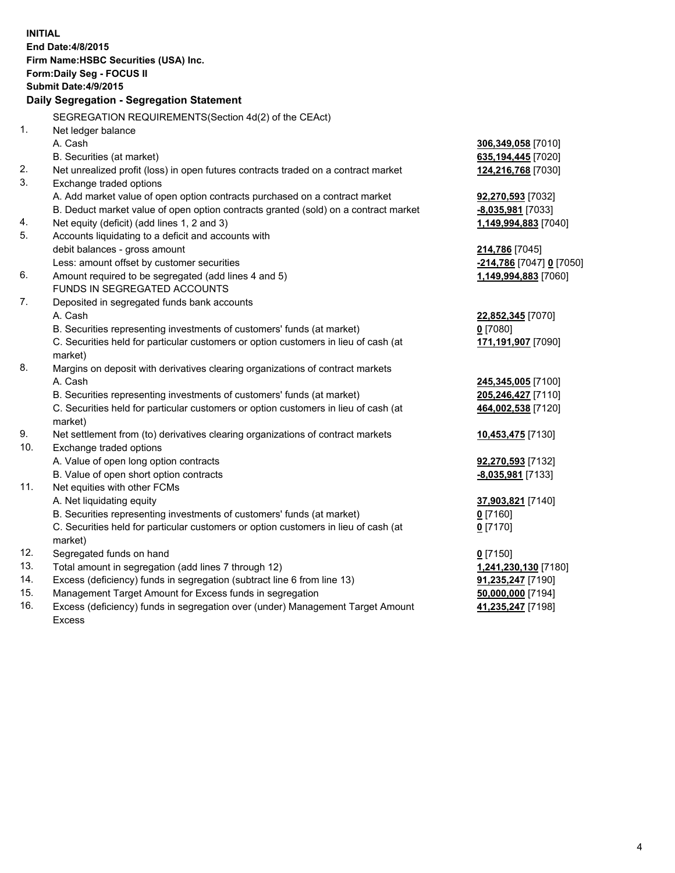| <b>INITIAL</b> | End Date: 4/8/2015<br>Firm Name: HSBC Securities (USA) Inc.<br>Form: Daily Seg - FOCUS II      |                          |
|----------------|------------------------------------------------------------------------------------------------|--------------------------|
|                | <b>Submit Date: 4/9/2015</b>                                                                   |                          |
|                | Daily Segregation - Segregation Statement                                                      |                          |
|                | SEGREGATION REQUIREMENTS(Section 4d(2) of the CEAct)                                           |                          |
| 1.             | Net ledger balance                                                                             |                          |
|                | A. Cash                                                                                        | 306,349,058 [7010]       |
|                | B. Securities (at market)                                                                      | 635,194,445 [7020]       |
| 2.             | Net unrealized profit (loss) in open futures contracts traded on a contract market             | 124,216,768 [7030]       |
| 3.             | Exchange traded options                                                                        |                          |
|                | A. Add market value of open option contracts purchased on a contract market                    | 92,270,593 [7032]        |
|                | B. Deduct market value of open option contracts granted (sold) on a contract market            | -8,035,981 [7033]        |
| 4.             | Net equity (deficit) (add lines 1, 2 and 3)                                                    | 1,149,994,883 [7040]     |
| 5.             | Accounts liquidating to a deficit and accounts with                                            |                          |
|                | debit balances - gross amount                                                                  | 214,786 [7045]           |
|                | Less: amount offset by customer securities                                                     | -214,786 [7047] 0 [7050] |
| 6.             | Amount required to be segregated (add lines 4 and 5)                                           | 1,149,994,883 [7060]     |
|                | FUNDS IN SEGREGATED ACCOUNTS                                                                   |                          |
| 7.             | Deposited in segregated funds bank accounts                                                    |                          |
|                | A. Cash                                                                                        | 22,852,345 [7070]        |
|                | B. Securities representing investments of customers' funds (at market)                         | $0$ [7080]               |
|                | C. Securities held for particular customers or option customers in lieu of cash (at<br>market) | 171,191,907 [7090]       |
| 8.             | Margins on deposit with derivatives clearing organizations of contract markets                 |                          |
|                | A. Cash                                                                                        | 245,345,005 [7100]       |
|                | B. Securities representing investments of customers' funds (at market)                         | 205,246,427 [7110]       |
|                | C. Securities held for particular customers or option customers in lieu of cash (at            | 464,002,538 [7120]       |
|                | market)                                                                                        |                          |
| 9.             | Net settlement from (to) derivatives clearing organizations of contract markets                | 10,453,475 [7130]        |
| 10.            | Exchange traded options                                                                        |                          |
|                | A. Value of open long option contracts                                                         | 92,270,593 [7132]        |
|                | B. Value of open short option contracts                                                        | -8,035,981 [7133]        |
| 11.            | Net equities with other FCMs                                                                   |                          |
|                | A. Net liquidating equity                                                                      | 37,903,821 [7140]        |
|                | B. Securities representing investments of customers' funds (at market)                         | <u>0</u> [7160]          |
|                | C. Securities held for particular customers or option customers in lieu of cash (at            | $0$ [7170]               |
|                | market)                                                                                        |                          |
| 12.            | Segregated funds on hand                                                                       | $0$ [7150]               |
| 13.            | Total amount in segregation (add lines 7 through 12)                                           | 1,241,230,130 [7180]     |
| 14.            | Excess (deficiency) funds in segregation (subtract line 6 from line 13)                        | 91,235,247 [7190]        |
| 15.            | Management Target Amount for Excess funds in segregation                                       | 50,000,000 [7194]        |
| 16.            | Excess (deficiency) funds in segregation over (under) Management Target Amount                 | 41,235,247 [7198]        |
|                | Excess                                                                                         |                          |